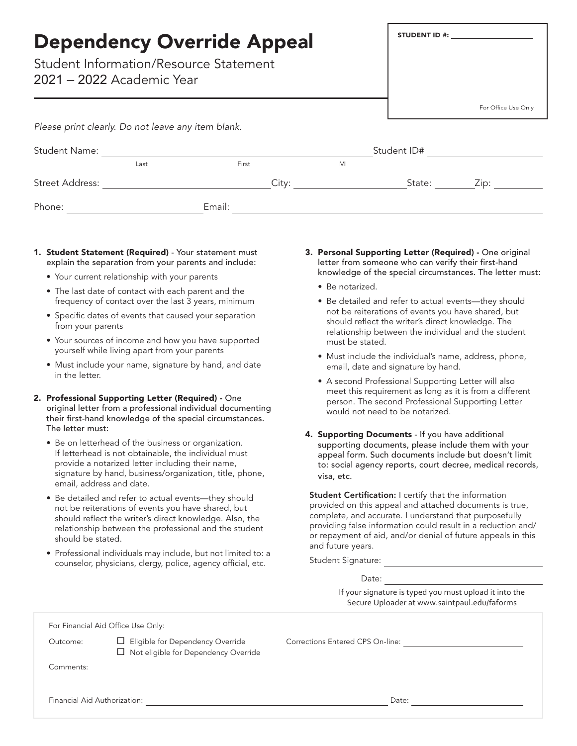| <b>Dependency Override Appeal</b><br><b>Student Information/Resource Statement</b><br>2021 – 2022 Academic Year |      |        |    |             | <b>STUDENT ID #:</b>                                                                                                                                                                                                                     |
|-----------------------------------------------------------------------------------------------------------------|------|--------|----|-------------|------------------------------------------------------------------------------------------------------------------------------------------------------------------------------------------------------------------------------------------|
|                                                                                                                 |      |        |    |             | For Office Use Only                                                                                                                                                                                                                      |
| Please print clearly. Do not leave any item blank.                                                              |      |        |    |             |                                                                                                                                                                                                                                          |
| <b>Student Name:</b>                                                                                            |      |        |    | Student ID# |                                                                                                                                                                                                                                          |
|                                                                                                                 | Last | First  | MI |             |                                                                                                                                                                                                                                          |
| <b>Street Address:</b>                                                                                          |      | City:  |    |             | State:<br>Zip: will be a set of the set of the set of the set of the set of the set of the set of the set of the set of the set of the set of the set of the set of the set of the set of the set of the set of the set of the set of th |
| Phone:                                                                                                          |      | Email: |    |             |                                                                                                                                                                                                                                          |

- 1. Student Statement (Required) Your statement must explain the separation from your parents and include:
	- Your current relationship with your parents
	- The last date of contact with each parent and the frequency of contact over the last 3 years, minimum
	- Specific dates of events that caused your separation from your parents
	- Your sources of income and how you have supported yourself while living apart from your parents
	- Must include your name, signature by hand, and date in the letter.
- 2. Professional Supporting Letter (Required) One original letter from a professional individual documenting their first-hand knowledge of the special circumstances. The letter must:
	- Be on letterhead of the business or organization. If letterhead is not obtainable, the individual must provide a notarized letter including their name, signature by hand, business/organization, title, phone, email, address and date.
	- Be detailed and refer to actual events—they should not be reiterations of events you have shared, but should reflect the writer's direct knowledge. Also, the relationship between the professional and the student should be stated.
	- Professional individuals may include, but not limited to: a counselor, physicians, clergy, police, agency official, etc.
- 3. Personal Supporting Letter (Required) One original letter from someone who can verify their first-hand knowledge of the special circumstances. The letter must:
	- Be notarized.
	- Be detailed and refer to actual events—they should not be reiterations of events you have shared, but should reflect the writer's direct knowledge. The relationship between the individual and the student must be stated.
	- Must include the individual's name, address, phone, email, date and signature by hand.
	- A second Professional Supporting Letter will also meet this requirement as long as it is from a different person. The second Professional Supporting Letter would not need to be notarized.
- 4. Supporting Documents If you have additional supporting documents, please include them with your appeal form. Such documents include but doesn't limit to: social agency reports, court decree, medical records, visa, etc.

Student Certification: I certify that the information provided on this appeal and attached documents is true, complete, and accurate. I understand that purposefully providing false information could result in a reduction and/ or repayment of aid, and/or denial of future appeals in this and future years.

Student Signature: We are a set of the state of the state of the state of the state of the state of the state of the state of the state of the state of the state of the state of the state of the state of the state of the s

Date:

If your signature is typed you must upload it into the Secure Uploader at www.saintpaul.edu/faforms

For Financial Aid Office Use Only:

□ Not eligible for Dependency Override

Outcome: **E**ligible for Dependency Override Corrections Entered CPS On-line:

Comments:

Financial Aid Authorization: Date: Date: Date: Date: Date: Date: Date: Date: Date: Date: Date: Date: Date: Date: Date: Date: Date: Date: Date: Date: Date: Date: Date: Date: Date: Date: Date: Date: Date: Date: Date: Date: D